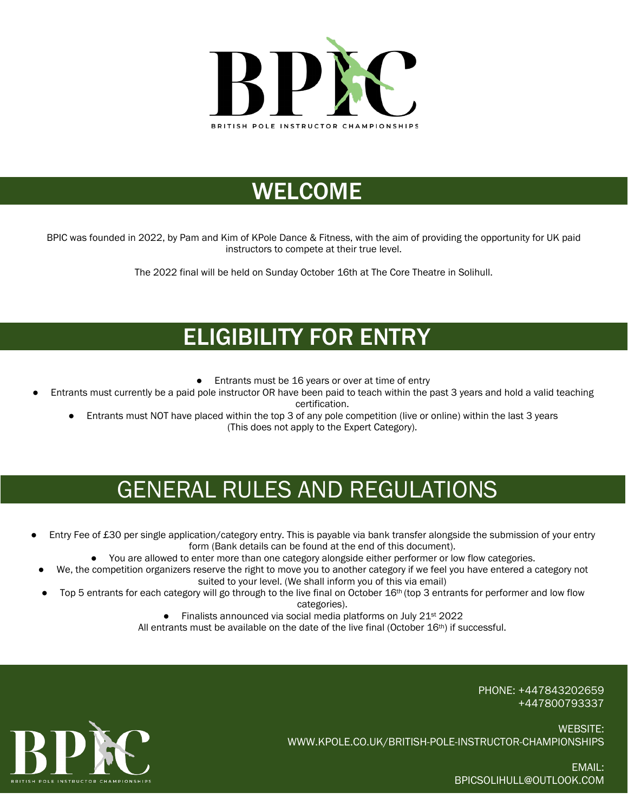

## WELCOME

BPIC was founded in 2022, by Pam and Kim of KPole Dance & Fitness, with the aim of providing the opportunity for UK paid instructors to compete at their true level.

The 2022 final will be held on Sunday October 16th at The Core Theatre in Solihull.

## ELIGIBILITY FOR ENTRY

- Entrants must be 16 years or over at time of entry
- Entrants must currently be a paid pole instructor OR have been paid to teach within the past 3 years and hold a valid teaching certification.
	- Entrants must NOT have placed within the top 3 of any pole competition (live or online) within the last 3 years (This does not apply to the Expert Category).

# GENERAL RULES AND REGULATIONS

- Entry Fee of £30 per single application/category entry. This is payable via bank transfer alongside the submission of your entry form (Bank details can be found at the end of this document).
	- You are allowed to enter more than one category alongside either performer or low flow categories.
	- We, the competition organizers reserve the right to move you to another category if we feel you have entered a category not suited to your level. (We shall inform you of this via email)
	- Top 5 entrants for each category will go through to the live final on October 16th (top 3 entrants for performer and low flow

categories).

● Finalists announced via social media platforms on July 21<sup>st</sup> 2022

All entrants must be available on the date of the live final (October  $16<sup>th</sup>$ ) if successful.

PHONE: +447843202659 +447800793337

BRITISH POLE INSTRUCTOR CHAMPIONS

WEBSITE: WWW.KPOLE.CO.UK/BRITISH-POLE-INSTRUCTOR-CHAMPIONSHIPS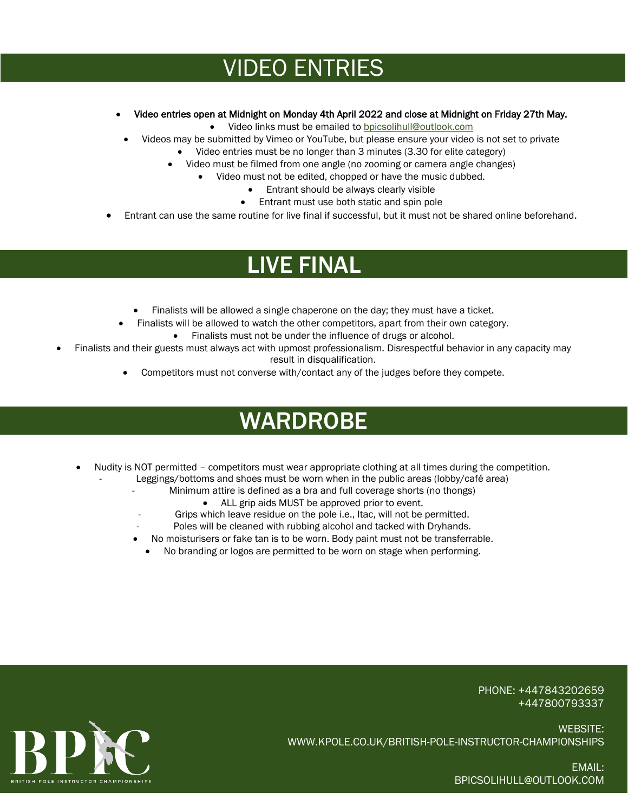## VIDEO ENTRIES

- Video entries open at Midnight on Monday 4th April 2022 and close at Midnight on Friday 27th May.
	- Video links must be emailed t[o bpicsolihull@outlook.com](mailto:bpicsolihull@outlook.com)
- Videos may be submitted by Vimeo or YouTube, but please ensure your video is not set to private
	- Video entries must be no longer than 3 minutes (3.30 for elite category)
	- Video must be filmed from one angle (no zooming or camera angle changes)
		- Video must not be edited, chopped or have the music dubbed.
			- Entrant should be always clearly visible
			- Entrant must use both static and spin pole
- Entrant can use the same routine for live final if successful, but it must not be shared online beforehand.

## LIVE FINAL

- Finalists will be allowed a single chaperone on the day; they must have a ticket.
- Finalists will be allowed to watch the other competitors, apart from their own category. Finalists must not be under the influence of drugs or alcohol.
- Finalists and their guests must always act with upmost professionalism. Disrespectful behavior in any capacity may result in disqualification.
	- Competitors must not converse with/contact any of the judges before they compete.

# WARDROBE

- Nudity is NOT permitted competitors must wear appropriate clothing at all times during the competition.
	- Leggings/bottoms and shoes must be worn when in the public areas (lobby/café area)
		- Minimum attire is defined as a bra and full coverage shorts (no thongs)
			- ALL grip aids MUST be approved prior to event.
		- Grips which leave residue on the pole i.e., Itac, will not be permitted.
		- Poles will be cleaned with rubbing alcohol and tacked with Dryhands.
		- No moisturisers or fake tan is to be worn. Body paint must not be transferrable.
			- No branding or logos are permitted to be worn on stage when performing.

PHONE: +447843202659 +447800793337



WEBSITE: WWW.KPOLE.CO.UK/BRITISH-POLE-INSTRUCTOR-CHAMPIONSHIPS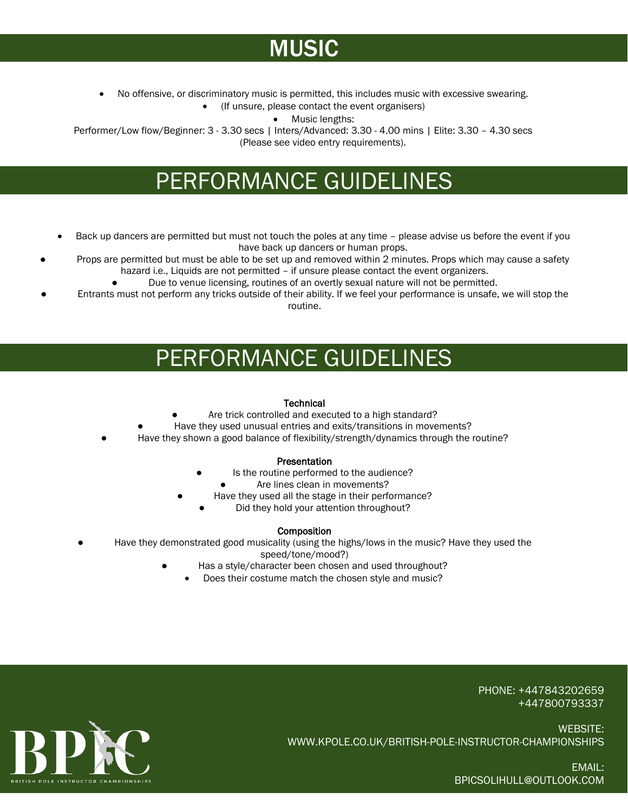# **MUSIC**

• No offensive, or discriminatory music is permitted, this includes music with excessive swearing.

• (If unsure, please contact the event organisers)

• Music lengths:

Performer/Low flow/Beginner: 3 - 3.30 secs | Inters/Advanced: 3.30 - 4.00 mins | Elite: 3.30 - 4.30 secs (Please see video entry requirements).

## PERFORMANCE GUIDELINES

- Back up dancers are permitted but must not touch the poles at any time please advise us before the event if you have back up dancers or human props.
- Props are permitted but must be able to be set up and removed within 2 minutes. Props which may cause a safety hazard i.e., Liquids are not permitted – if unsure please contact the event organizers.
	- Due to venue licensing, routines of an overtly sexual nature will not be permitted.
- Entrants must not perform any tricks outside of their ability. If we feel your performance is unsafe, we will stop the routine.

### PERFORMANCE GUIDELINES

### **Technical**

- Are trick controlled and executed to a high standard?
- Have they used unusual entries and exits/transitions in movements?
- Have they shown a good balance of flexibility/strength/dynamics through the routine?

#### **Presentation**

- Is the routine performed to the audience?
	- Are lines clean in movements?
- Have they used all the stage in their performance?
	- Did they hold your attention throughout?

### **Composition**

- Have they demonstrated good musicality (using the highs/lows in the music? Have they used the
	- speed/tone/mood?)
	- Has a style/character been chosen and used throughout?
		- Does their costume match the chosen style and music?

PHONE: +447843202659 +447800793337



WEBSITE: WWW.KPOLE.CO.UK/BRITISH-POLE-INSTRUCTOR-CHAMPIONSHIPS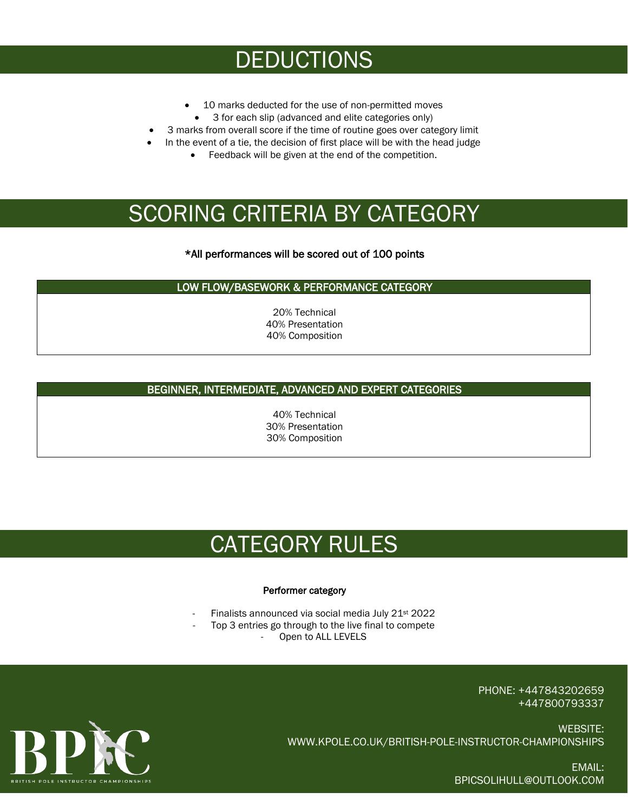## DEDUCTIONS

- 10 marks deducted for the use of non-permitted moves
- 3 for each slip (advanced and elite categories only)
- 3 marks from overall score if the time of routine goes over category limit
- In the event of a tie, the decision of first place will be with the head judge
	- Feedback will be given at the end of the competition.

## SCORING CRITERIA BY CATEGORY

### \*All performances will be scored out of 100 points

#### LOW FLOW/BASEWORK & PERFORMANCE CATEGORY

20% Technical 40% Presentation 40% Composition

### BEGINNER, INTERMEDIATE, ADVANCED AND EXPERT CATEGORIES

40% Technical 30% Presentation 30% Composition

## CATEGORY RULES

#### Performer category

- Finalists announced via social media July 21<sup>st</sup> 2022
	- Top 3 entries go through to the live final to compete
		- Open to ALL LEVELS

PHONE: +447843202659 +447800793337

WEBSITE: WWW.KPOLE.CO.UK/BRITISH-POLE-INSTRUCTOR-CHAMPIONSHIPS

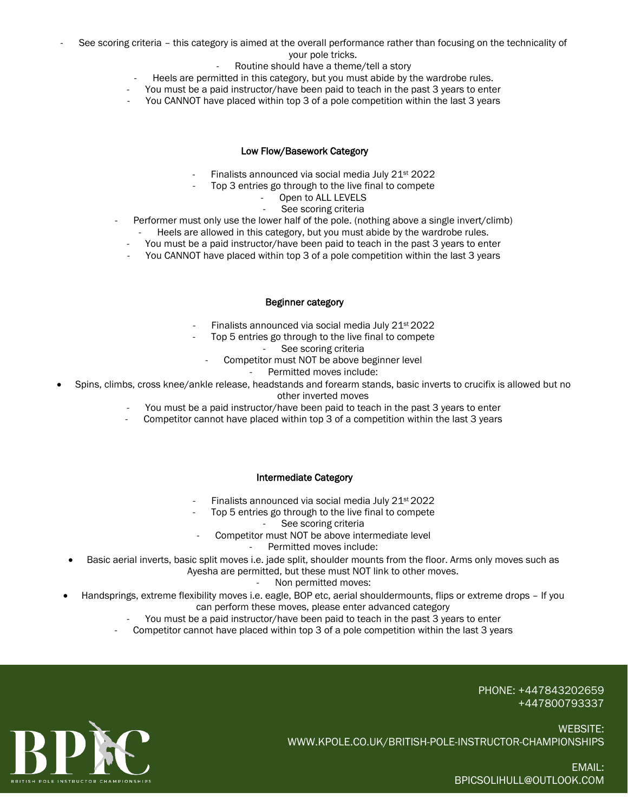- See scoring criteria this category is aimed at the overall performance rather than focusing on the technicality of your pole tricks.
	- Routine should have a theme/tell a story
	- Heels are permitted in this category, but you must abide by the wardrobe rules.
	- You must be a paid instructor/have been paid to teach in the past 3 years to enter
	- You CANNOT have placed within top 3 of a pole competition within the last 3 years

#### Low Flow/Basework Category

- Finalists announced via social media July 21<sup>st</sup> 2022
- Top 3 entries go through to the live final to compete
	- Open to ALL LEVELS
		- See scoring criteria
- Performer must only use the lower half of the pole. (nothing above a single invert/climb)
	- Heels are allowed in this category, but you must abide by the wardrobe rules.
	- You must be a paid instructor/have been paid to teach in the past 3 years to enter
	- You CANNOT have placed within top 3 of a pole competition within the last 3 years

#### Beginner category

- Finalists announced via social media July 21<sup>st</sup> 2022
- Top 5 entries go through to the live final to compete
	- See scoring criteria
	- Competitor must NOT be above beginner level
		- Permitted moves include:
- Spins, climbs, cross knee/ankle release, headstands and forearm stands, basic inverts to crucifix is allowed but no other inverted moves
	- You must be a paid instructor/have been paid to teach in the past 3 years to enter
	- Competitor cannot have placed within top 3 of a competition within the last 3 years

#### Intermediate Category

- Finalists announced via social media July 21<sup>st</sup> 2022
- Top 5 entries go through to the live final to compete
	- See scoring criteria
- Competitor must NOT be above intermediate level
	- Permitted moves include:
- Basic aerial inverts, basic split moves i.e. jade split, shoulder mounts from the floor. Arms only moves such as Ayesha are permitted, but these must NOT link to other moves.
	- Non permitted moves:
- Handsprings, extreme flexibility moves i.e. eagle, BOP etc, aerial shouldermounts, flips or extreme drops If you can perform these moves, please enter advanced category
	- You must be a paid instructor/have been paid to teach in the past 3 years to enter
	- Competitor cannot have placed within top 3 of a pole competition within the last 3 years

PHONE: +447843202659 +447800793337



WEBSITE: WWW.KPOLE.CO.UK/BRITISH-POLE-INSTRUCTOR-CHAMPIONSHIPS